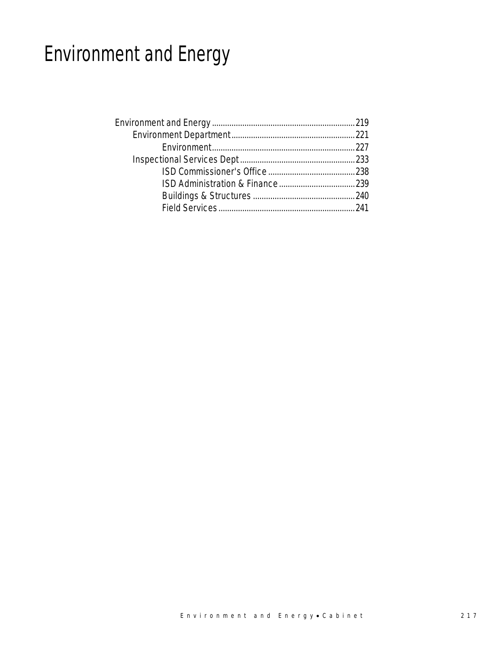# Environment and Energy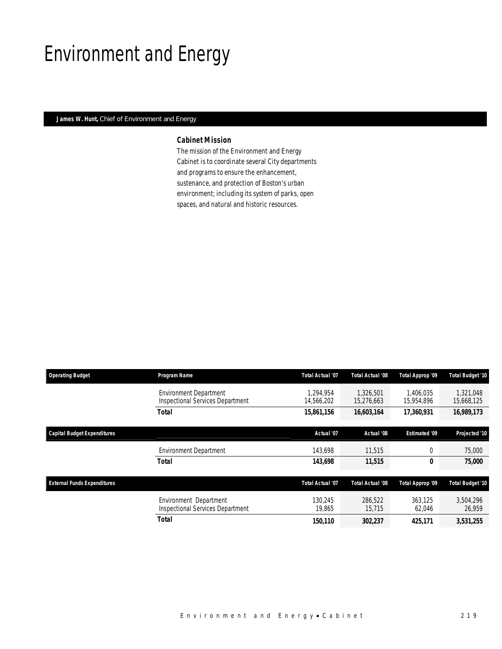# Environment and Energy

### *James W. Hunt, Chief of Environment and Energy*

### *Cabinet Mission*

The mission of the Environment and Energy Cabinet is to coordinate several City departments and programs to ensure the enhancement, sustenance, and protection of Boston's urban environment; including its system of parks, open spaces, and natural and historic resources.

| <b>Operating Budget</b>            | Program Name                                                      | Total Actual '07        | <b>Total Actual '08</b> | Total Approp '09        | <b>Total Budget '10</b> |
|------------------------------------|-------------------------------------------------------------------|-------------------------|-------------------------|-------------------------|-------------------------|
|                                    | <b>Environment Department</b><br>Inspectional Services Department | 1.294.954<br>14,566,202 | 1.326.501<br>15,276,663 | 1.406.035<br>15,954,896 | 1.321.048<br>15,668,125 |
|                                    | <b>Total</b>                                                      | 15,861,156              | 16,603,164              | 17,360,931              | 16,989,173              |
| <b>Capital Budget Expenditures</b> |                                                                   | Actual '07              | Actual '08              | <b>Estimated '09</b>    | Projected '10           |
|                                    | <b>Environment Department</b>                                     | 143,698                 | 11.515                  | 0                       | 75,000                  |
|                                    | <b>Total</b>                                                      | 143,698                 | 11,515                  | 0                       | 75,000                  |
| <b>External Funds Expenditures</b> |                                                                   | <b>Total Actual '07</b> | <b>Total Actual '08</b> | Total Approp '09        | <b>Total Budget '10</b> |
|                                    | Environment Department<br><b>Inspectional Services Department</b> | 130.245<br>19,865       | 286.522<br>15,715       | 363.125<br>62,046       | 3,504,296<br>26,959     |
|                                    | <b>Total</b>                                                      | 150,110                 | 302,237                 | 425,171                 | 3,531,255               |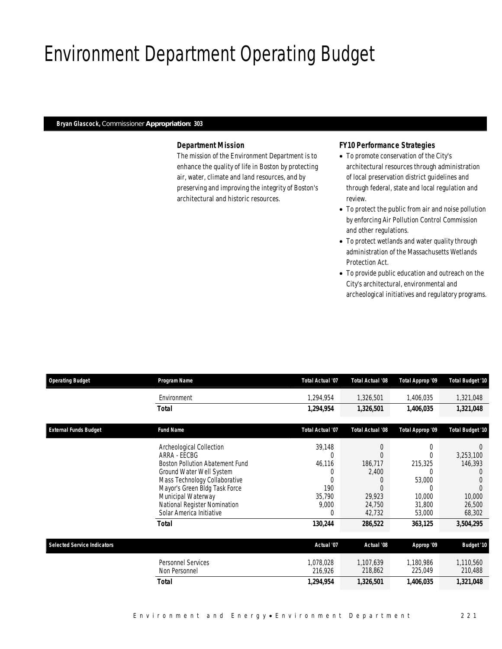# Environment Department Operating Budget

### *Bryan Glascock, Commissioner Appropriation: 303*

### *Department Mission*

The mission of the Environment Department is to enhance the quality of life in Boston by protecting air, water, climate and land resources, and by preserving and improving the integrity of Boston's architectural and historic resources.

### *FY10 Performance Strategies*

- To promote conservation of the City's architectural resources through administration of local preservation district guidelines and through federal, state and local regulation and review.
- To protect the public from air and noise pollution by enforcing Air Pollution Control Commission and other regulations.
- To protect wetlands and water quality through administration of the Massachusetts Wetlands Protection Act.
- To provide public education and outreach on the City's architectural, environmental and archeological initiatives and regulatory programs.

| <b>Operating Budget</b>            | Program Name                           | <b>Total Actual '07</b> | <b>Total Actual '08</b> | Total Approp '09 | Total Budget '10        |
|------------------------------------|----------------------------------------|-------------------------|-------------------------|------------------|-------------------------|
|                                    | Environment                            | 1,294,954               | 1,326,501               | 1,406,035        | 1,321,048               |
|                                    | Total                                  | 1,294,954               | 1,326,501               | 1,406,035        | 1,321,048               |
| <b>External Funds Budget</b>       | <b>Fund Name</b>                       | Total Actual '07        | <b>Total Actual '08</b> | Total Approp '09 | <b>Total Budget '10</b> |
|                                    | Archeological Collection               | 39,148                  | 0                       |                  | $\Omega$                |
|                                    | ARRA - EECBG                           | $\Omega$                | U                       |                  | 3,253,100               |
|                                    | <b>Boston Pollution Abatement Fund</b> | 46,116                  | 186,717                 | 215,325          | 146,393                 |
|                                    | Ground Water Well System               | 0                       | 2,400                   |                  | $\left( \right)$        |
|                                    | Mass Technology Collaborative          | $\Omega$                | 0                       | 53,000           |                         |
|                                    | Mayor's Green Bldg Task Force          | 190                     | 0                       |                  |                         |
|                                    | Municipal Waterway                     | 35,790                  | 29,923                  | 10,000           | 10,000                  |
|                                    | National Register Nomination           | 9,000                   | 24,750                  | 31,800           | 26,500                  |
|                                    | Solar America Initiative               | $\Omega$                | 42,732                  | 53,000           | 68,302                  |
|                                    | <b>Total</b>                           | 130,244                 | 286,522                 | 363,125          | 3,504,295               |
| <b>Selected Service Indicators</b> |                                        | Actual '07              | Actual '08              | Approp '09       | <b>Budget '10</b>       |
|                                    | <b>Personnel Services</b>              | 1,078,028               | 1,107,639               | 1,180,986        | 1,110,560               |
|                                    | Non Personnel                          | 216,926                 | 218,862                 | 225,049          | 210,488                 |
|                                    | <b>Total</b>                           | 1,294,954               | 1,326,501               | 1,406,035        | 1,321,048               |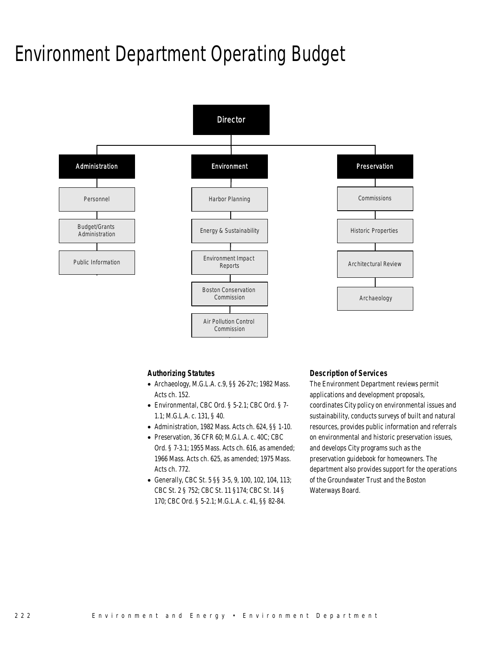# Environment Department Operating Budget



### *Authorizing Statutes*

- Archaeology, M.G.L.A. c.9, §§ 26-27c; 1982 Mass. Acts ch. 152.
- Environmental, CBC Ord. § 5-2.1; CBC Ord. § 7- 1.1; M.G.L.A. c. 131, § 40.
- Administration, 1982 Mass. Acts ch. 624, §§ 1-10.
- Preservation, 36 CFR 60; M.G.L.A. c. 40C; CBC Ord. § 7-3.1; 1955 Mass. Acts ch. 616, as amended; 1966 Mass. Acts ch. 625, as amended; 1975 Mass. Acts ch. 772.
- Generally, CBC St. 5 §§ 3-5, 9, 100, 102, 104, 113; CBC St. 2 § 752; CBC St. 11 §174; CBC St. 14 § 170; CBC Ord. § 5-2.1; M.G.L.A. c. 41, §§ 82-84.

### *Description of Services*

The Environment Department reviews permit applications and development proposals, coordinates City policy on environmental issues and sustainability, conducts surveys of built and natural resources, provides public information and referrals on environmental and historic preservation issues, and develops City programs such as the preservation guidebook for homeowners. The department also provides support for the operations of the Groundwater Trust and the Boston Waterways Board.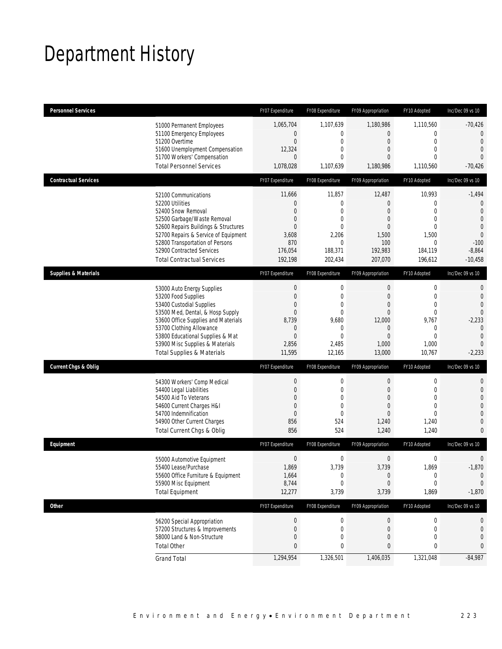# Department History

| <b>Personnel Services</b>       |                                                                                                                                                                                                                                                                                                      | FY07 Expenditure                                                                               | FY08 Expenditure                                                                                                     | FY09 Appropriation                                                                      | FY10 Adopted                                                                                                        | Inc/Dec 09 vs 10                                                                                                                               |
|---------------------------------|------------------------------------------------------------------------------------------------------------------------------------------------------------------------------------------------------------------------------------------------------------------------------------------------------|------------------------------------------------------------------------------------------------|----------------------------------------------------------------------------------------------------------------------|-----------------------------------------------------------------------------------------|---------------------------------------------------------------------------------------------------------------------|------------------------------------------------------------------------------------------------------------------------------------------------|
|                                 | 51000 Permanent Employees<br>51100 Emergency Employees<br>51200 Overtime<br>51600 Unemployment Compensation<br>51700 Workers' Compensation<br><b>Total Personnel Services</b>                                                                                                                        | 1,065,704<br>0<br>$\mathbf 0$<br>12,324<br>$\overline{0}$<br>1,078,028                         | 1,107,639<br>0<br>0<br>$\mathbf 0$<br>$\mathbf 0$<br>1,107,639                                                       | 1,180,986<br>$\mathbf 0$<br>0<br>$\overline{0}$<br>0<br>1,180,986                       | 1,110,560<br>0<br>$\mathbf 0$<br>$\mathbf{0}$<br>$\Omega$<br>1,110,560                                              | $-70,426$<br>$\overline{0}$<br>$\mathbf{0}$<br>$\mathbf 0$<br>$\Omega$<br>$-70,426$                                                            |
| <b>Contractual Services</b>     |                                                                                                                                                                                                                                                                                                      | FY07 Expenditure                                                                               | FY08 Expenditure                                                                                                     | FY09 Appropriation                                                                      | FY10 Adopted                                                                                                        | Inc/Dec 09 vs 10                                                                                                                               |
|                                 | 52100 Communications<br>52200 Utilities<br>52400 Snow Removal<br>52500 Garbage/Waste Removal<br>52600 Repairs Buildings & Structures<br>52700 Repairs & Service of Equipment<br>52800 Transportation of Persons<br>52900 Contracted Services<br><b>Total Contractual Services</b>                    | 11,666<br>$\mathbf 0$<br>0<br>0<br>$\overline{0}$<br>3,608<br>870<br>176,054<br>192,198        | 11,857<br>$\boldsymbol{0}$<br>$\mathbf 0$<br>$\mathbf 0$<br>$\overline{0}$<br>2,206<br>0<br>188,371<br>202,434       | 12,487<br>$\mathbf 0$<br>0<br>0<br>$\overline{0}$<br>1,500<br>100<br>192,983<br>207,070 | 10,993<br>$\mathbf 0$<br>$\mathbf{0}$<br>$\mathbf{0}$<br>$\mathbf{0}$<br>1,500<br>$\mathbf 0$<br>184,119<br>196,612 | $-1,494$<br>$\mathbf{0}$<br>$\mathbf{0}$<br>$\mathbf{0}$<br>$\mathbf 0$<br>$\overline{0}$<br>$-100$<br>$-8,864$<br>$-10,458$                   |
| <b>Supplies &amp; Materials</b> |                                                                                                                                                                                                                                                                                                      | FY07 Expenditure                                                                               | FY08 Expenditure                                                                                                     | FY09 Appropriation                                                                      | FY10 Adopted                                                                                                        | Inc/Dec 09 vs 10                                                                                                                               |
|                                 | 53000 Auto Energy Supplies<br>53200 Food Supplies<br>53400 Custodial Supplies<br>53500 Med, Dental, & Hosp Supply<br>53600 Office Supplies and Materials<br>53700 Clothing Allowance<br>53800 Educational Supplies & Mat<br>53900 Misc Supplies & Materials<br><b>Total Supplies &amp; Materials</b> | $\theta$<br>$\mathbf 0$<br>0<br>$\overline{0}$<br>8,739<br>0<br>$\mathbf 0$<br>2,856<br>11,595 | $\mathbf 0$<br>$\mathbf 0$<br>$\mathbf 0$<br>$\mathbf 0$<br>9,680<br>$\mathbf{0}$<br>$\mathbf{0}$<br>2,485<br>12,165 | $\mathbf 0$<br>$\mathbf 0$<br>0<br>0<br>12,000<br>0<br>$\mathbf 0$<br>1,000<br>13,000   | $\boldsymbol{0}$<br>$\mathbf 0$<br>$\mathbf{0}$<br>$\mathbf{0}$<br>9,767<br>0<br>$\mathbf{0}$<br>1,000<br>10,767    | $\mathbf{0}$<br>$\mathbf{0}$<br>$\overline{0}$<br>$\overline{0}$<br>$-2,233$<br>$\overline{0}$<br>$\overline{0}$<br>$\overline{0}$<br>$-2,233$ |
| <b>Current Chgs &amp; Oblig</b> |                                                                                                                                                                                                                                                                                                      | FY07 Expenditure                                                                               | FY08 Expenditure                                                                                                     | FY09 Appropriation                                                                      | FY10 Adopted                                                                                                        | Inc/Dec 09 vs 10                                                                                                                               |
|                                 | 54300 Workers' Comp Medical<br>54400 Legal Liabilities<br>54500 Aid To Veterans<br>54600 Current Charges H&I<br>54700 Indemnification<br>54900 Other Current Charges<br>Total Current Chgs & Oblig                                                                                                   | $\boldsymbol{0}$<br>$\mathbf 0$<br>0<br>0<br>$\overline{0}$<br>856<br>856                      | $\boldsymbol{0}$<br>0<br>$\mathbf 0$<br>$\mathbf{0}$<br>$\mathbf{0}$<br>524<br>524                                   | $\mathbf 0$<br>0<br>$\overline{0}$<br>0<br>$\overline{0}$<br>1,240<br>1,240             | $\boldsymbol{0}$<br>$\mathbf 0$<br>$\mathbf{0}$<br>$\mathbf{0}$<br>$\mathbf{0}$<br>1,240<br>1,240                   | $\mathbf{0}$<br>$\mathbf 0$<br>$\overline{0}$<br>$\overline{0}$<br>$\overline{0}$<br>$\mathbf{0}$<br>$\mathbf{0}$                              |
| Equipment                       |                                                                                                                                                                                                                                                                                                      | FY07 Expenditure                                                                               | FY08 Expenditure                                                                                                     | FY09 Appropriation                                                                      | FY10 Adopted                                                                                                        | Inc/Dec 09 vs 10                                                                                                                               |
|                                 | 55000 Automotive Equipment<br>55400 Lease/Purchase<br>55600 Office Furniture & Equipment<br>55900 Misc Equipment<br><b>Total Equipment</b>                                                                                                                                                           | $\boldsymbol{0}$<br>1,869<br>1,664<br>8,744<br>12,277                                          | 0<br>3,739<br>0<br>$\mathbf 0$<br>3,739                                                                              | $\mathbf 0$<br>3,739<br>$\boldsymbol{0}$<br>$\overline{0}$<br>3,739                     | $\mathbf 0$<br>1,869<br>$\boldsymbol{0}$<br>$\mathbf{0}$<br>1,869                                                   | $\mathbf 0$<br>$-1,870$<br>$\mathbf{0}$<br>$\mathbf 0$<br>$-1,870$                                                                             |
| <b>Other</b>                    |                                                                                                                                                                                                                                                                                                      | FY07 Expenditure                                                                               | FY08 Expenditure                                                                                                     | FY09 Appropriation                                                                      | FY10 Adopted                                                                                                        | Inc/Dec 09 vs 10                                                                                                                               |
|                                 | 56200 Special Appropriation<br>57200 Structures & Improvements<br>58000 Land & Non-Structure<br><b>Total Other</b>                                                                                                                                                                                   | $\boldsymbol{0}$<br>0<br>0<br>$\bf{0}$                                                         | 0<br>0<br>0<br>0                                                                                                     | $\mathbf 0$<br>$\mathbf 0$<br>0<br>0                                                    | $\boldsymbol{0}$<br>$\boldsymbol{0}$<br>0<br>0                                                                      | 0<br>$\mathbf 0$<br>$\mathbf 0$<br>0                                                                                                           |
|                                 | <b>Grand Total</b>                                                                                                                                                                                                                                                                                   | 1,294,954                                                                                      | 1,326,501                                                                                                            | 1,406,035                                                                               | 1,321,048                                                                                                           | $-84,987$                                                                                                                                      |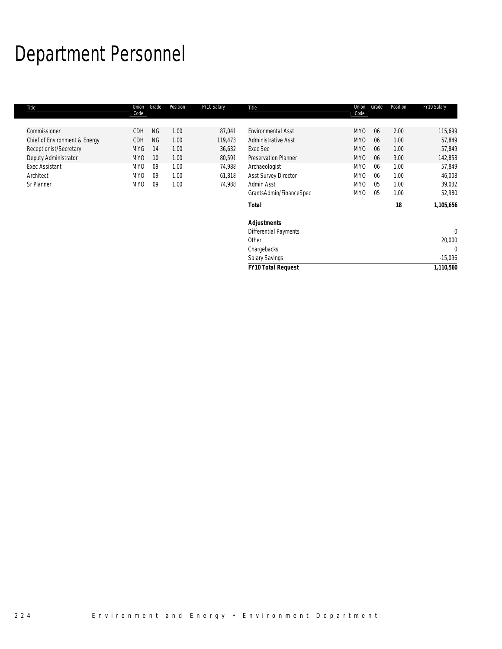# Department Personnel

| Title                         | Union<br>Code   | Grade     | Position | FY10 Salary | Title                        | Union<br>Code   | Grade          | Position | FY10 Salary  |
|-------------------------------|-----------------|-----------|----------|-------------|------------------------------|-----------------|----------------|----------|--------------|
| Commissioner                  | CDH             | <b>NG</b> | 1.00     | 87,041      | <b>Environmental Asst</b>    | MY <sub>0</sub> | 06             | 2.00     | 115,699      |
| Chief of Environment & Energy | CDH             | <b>NG</b> | 1.00     | 119,473     | <b>Administrative Asst</b>   | <b>MYO</b>      | 06             | 1.00     | 57,849       |
| Receptionist/Secretary        | <b>MYG</b>      | 14        | 1.00     | 36,632      | Exec Sec                     | <b>MYO</b>      | 06             | 1.00     | 57,849       |
| Deputy Administrator          | <b>MYO</b>      | 10        | 1.00     | 80,591      | <b>Preservation Planner</b>  | <b>MYO</b>      | 06             | 3.00     | 142,858      |
| <b>Exec Assistant</b>         | MY <sub>0</sub> | 09        | 1.00     | 74,988      | Archaeologist                | MY <sub>0</sub> | 06             | 1.00     | 57,849       |
| Architect                     | MY <sub>0</sub> | 09        | 1.00     | 61,818      | Asst Survey Director         | MY <sub>0</sub> | 06             | 1.00     | 46,008       |
| Sr Planner                    | <b>MYO</b>      | 09        | 1.00     | 74,988      | Admin Asst                   | MY <sub>0</sub> | 0 <sub>5</sub> | 1.00     | 39,032       |
|                               |                 |           |          |             | GrantsAdmin/FinanceSpec      | MY <sub>0</sub> | 05             | 1.00     | 52,980       |
|                               |                 |           |          |             | <b>Total</b>                 |                 |                | 18       | 1,105,656    |
|                               |                 |           |          |             | <b>Adjustments</b>           |                 |                |          |              |
|                               |                 |           |          |             | <b>Differential Payments</b> |                 |                |          | $\mathbf{0}$ |
|                               |                 |           |          |             | Other                        |                 |                |          | 20,000       |
|                               |                 |           |          |             | Chargebacks                  |                 |                |          | 0            |
|                               |                 |           |          |             | Salary Savings               |                 |                |          | $-15,096$    |
|                               |                 |           |          |             | <b>FY10 Total Request</b>    |                 |                |          | 1,110,560    |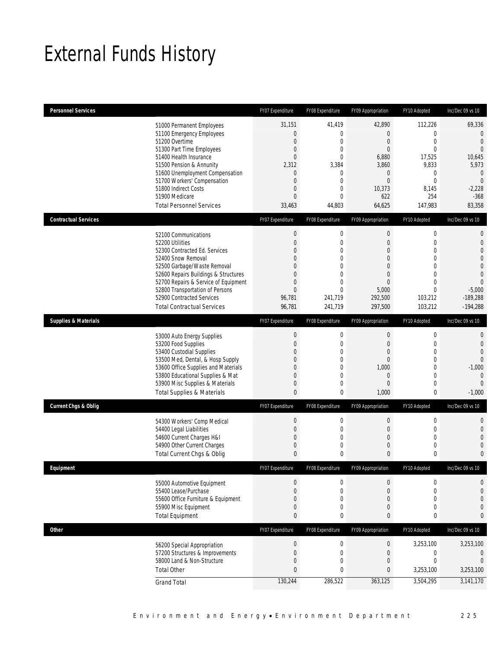# External Funds History

| <b>Personnel Services</b>       |                                                                          | FY07 Expenditure                               | FY08 Expenditure           | FY09 Appropriation                           | FY10 Adopted                           | Inc/Dec 09 vs 10                        |
|---------------------------------|--------------------------------------------------------------------------|------------------------------------------------|----------------------------|----------------------------------------------|----------------------------------------|-----------------------------------------|
|                                 | 51000 Permanent Employees<br>51100 Emergency Employees<br>51200 Overtime | 31,151<br>$\boldsymbol{0}$<br>$\boldsymbol{0}$ | 41,419<br>0<br>$\mathbf 0$ | 42,890<br>$\overline{0}$<br>$\boldsymbol{0}$ | 112,226<br>$\mathbf{0}$<br>$\mathbf 0$ | 69,336<br>$\mathbf 0$<br>$\overline{0}$ |
|                                 | 51300 Part Time Employees<br>51400 Health Insurance                      | 0<br>$\overline{0}$                            | 0<br>$\Omega$              | $\overline{0}$<br>6,880                      | $\overline{0}$<br>17,525               | $\overline{0}$<br>10,645                |
|                                 | 51500 Pension & Annunity                                                 | 2,312                                          | 3,384                      | 3,860                                        | 9,833                                  | 5,973                                   |
|                                 | 51600 Unemployment Compensation                                          | $\mathbf 0$                                    | 0<br>$\overline{0}$        | 0<br>$\overline{0}$                          | 0<br>$\mathbf{0}$                      | $\mathbf 0$<br>$\overline{0}$           |
|                                 | 51700 Workers' Compensation<br>51800 Indirect Costs                      | 0<br>0                                         | 0                          | 10,373                                       | 8,145                                  | $-2,228$                                |
|                                 | 51900 Medicare                                                           | $\overline{0}$                                 | $\Omega$                   | 622                                          | 254                                    | $-368$                                  |
|                                 | <b>Total Personnel Services</b>                                          | 33,463                                         | 44,803                     | 64,625                                       | 147,983                                | 83,358                                  |
| <b>Contractual Services</b>     |                                                                          | FY07 Expenditure                               | FY08 Expenditure           | FY09 Appropriation                           | FY10 Adopted                           | Inc/Dec 09 vs 10                        |
|                                 | 52100 Communications                                                     | $\boldsymbol{0}$                               | $\boldsymbol{0}$           | $\boldsymbol{0}$                             | $\boldsymbol{0}$                       | $\mathbf{0}$                            |
|                                 | 52200 Utilities<br>52300 Contracted Ed. Services                         | $\mathbf 0$                                    | $\mathbf 0$                | $\boldsymbol{0}$                             | $\mathbf 0$<br>$\mathbf{0}$            | $\mathbf{0}$<br>$\overline{0}$          |
|                                 | 52400 Snow Removal                                                       | 0<br>0                                         | 0<br>$\overline{0}$        | 0<br>0                                       | $\mathbf{0}$                           | $\overline{0}$                          |
|                                 | 52500 Garbage/Waste Removal                                              | 0                                              | 0                          | $\Omega$                                     | $\mathbf{0}$                           | $\mathbf 0$                             |
|                                 | 52600 Repairs Buildings & Structures                                     | 0                                              | $\overline{0}$             | 0                                            | $\mathbf{0}$                           | $\overline{0}$                          |
|                                 | 52700 Repairs & Service of Equipment<br>52800 Transportation of Persons  | 0<br>$\overline{0}$                            | 0<br>$\Omega$              | $\overline{0}$<br>5,000                      | $\mathbf{0}$<br>$\mathbf{0}$           | $\overline{0}$<br>$-5,000$              |
|                                 | 52900 Contracted Services                                                | 96,781                                         | 241,719                    | 292,500                                      | 103,212                                | $-189,288$                              |
|                                 | <b>Total Contractual Services</b>                                        | 96,781                                         | 241,719                    | 297,500                                      | 103,212                                | $-194,288$                              |
| <b>Supplies &amp; Materials</b> |                                                                          | FY07 Expenditure                               | FY08 Expenditure           | FY09 Appropriation                           | FY10 Adopted                           | Inc/Dec 09 vs 10                        |
|                                 | 53000 Auto Energy Supplies                                               | $\mathbf 0$                                    | $\boldsymbol{0}$           | $\mathbf 0$                                  | $\mathbf 0$                            | 0                                       |
|                                 | 53200 Food Supplies                                                      | $\overline{0}$                                 | $\overline{0}$             | $\overline{0}$                               | $\mathbf 0$                            | $\overline{0}$                          |
|                                 | 53400 Custodial Supplies<br>53500 Med, Dental, & Hosp Supply             | 0<br>0                                         | $\mathbf 0$<br>0           | 0<br>0                                       | $\mathbf 0$<br>$\mathbf{0}$            | $\overline{0}$<br>$\theta$              |
|                                 | 53600 Office Supplies and Materials                                      | 0                                              | $\mathbf 0$                | 1,000                                        | $\mathbf 0$                            | $-1,000$                                |
|                                 | 53800 Educational Supplies & Mat                                         | 0                                              | 0                          | 0                                            | $\mathbf{0}$                           | $\mathbf{0}$                            |
|                                 | 53900 Misc Supplies & Materials<br><b>Total Supplies &amp; Materials</b> | 0<br>$\mathbf{0}$                              | 0<br>0                     | 0<br>1,000                                   | $\mathbf 0$<br>$\bf{0}$                | $\Omega$<br>$-1,000$                    |
| <b>Current Chgs &amp; Oblig</b> |                                                                          | FY07 Expenditure                               |                            | FY09 Appropriation                           |                                        | Inc/Dec 09 vs 10                        |
|                                 |                                                                          |                                                | FY08 Expenditure           |                                              | FY10 Adopted                           |                                         |
|                                 | 54300 Workers' Comp Medical<br>54400 Legal Liabilities                   | $\boldsymbol{0}$<br>$\mathbf 0$                | $\boldsymbol{0}$<br>0      | $\boldsymbol{0}$<br>$\boldsymbol{0}$         | $\boldsymbol{0}$<br>$\mathbf 0$        | $\mathbf{0}$<br>$\mathbf{0}$            |
|                                 | 54600 Current Charges H&I                                                | 0                                              | 0                          | 0                                            | $\mathbf{0}$                           | $\overline{0}$                          |
|                                 | 54900 Other Current Charges                                              | 0                                              | 0                          | 0                                            | $\mathbf 0$                            | $\Omega$                                |
|                                 | Total Current Chgs & Oblig                                               | $\mathbf{0}$                                   | 0                          | 0                                            | 0                                      | $\mathbf{0}$                            |
| <b>Fauinment</b>                |                                                                          | FY07 Expenditure                               | FY08 Expenditure           | FY09 Appropriation                           | FY10 Adopted                           | Inc/Dec 09 vs 10                        |
|                                 | 55000 Automotive Equipment                                               | $\mathbf 0$                                    | 0                          | 0                                            | 0                                      | 0                                       |
|                                 | 55400 Lease/Purchase                                                     | $\overline{0}$                                 | 0                          | 0                                            | $\mathbf{0}$                           | $\overline{0}$                          |
|                                 | 55600 Office Furniture & Equipment<br>55900 Misc Equipment               | 0<br>0                                         | 0<br>0                     | 0<br>0                                       | $\mathbf 0$<br>$\mathbf 0$             | $\overline{0}$<br>$\mathbf 0$           |
|                                 | <b>Total Equipment</b>                                                   | 0                                              | 0                          | 0                                            | 0                                      | $\mathbf{0}$                            |
| <b>Other</b>                    |                                                                          | FY07 Expenditure                               | FY08 Expenditure           | FY09 Appropriation                           | FY10 Adopted                           | Inc/Dec 09 vs 10                        |
|                                 | 56200 Special Appropriation                                              | $\theta$                                       | $\boldsymbol{0}$           | $\pmb{0}$                                    | 3,253,100                              | 3,253,100                               |
|                                 | 57200 Structures & Improvements                                          | $\boldsymbol{0}$                               | $\mathbf 0$                | $\mathbf 0$                                  | 0                                      | $\Omega$                                |
|                                 | 58000 Land & Non-Structure                                               | 0                                              | $\mathbf 0$                | 0                                            | $\boldsymbol{0}$                       | $\overline{0}$                          |
|                                 | <b>Total Other</b>                                                       | 0                                              | 0                          | 0                                            | 3,253,100                              | 3,253,100                               |
|                                 | <b>Grand Total</b>                                                       | 130,244                                        | 286,522                    | 363,125                                      | 3,504,295                              | 3,141,170                               |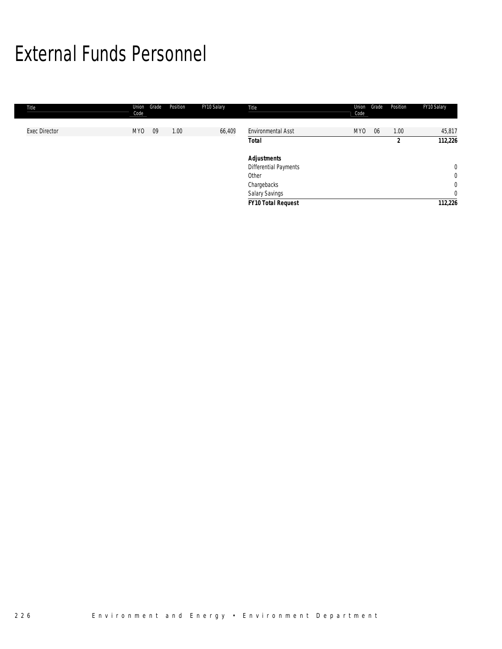# External Funds Personnel

| Title                | Union<br>Code   | Grade | Position | FY10 Salary | Title                        | Union<br>Code   | Grade | Position | FY10 Salary    |
|----------------------|-----------------|-------|----------|-------------|------------------------------|-----------------|-------|----------|----------------|
|                      |                 |       |          |             |                              |                 |       |          |                |
| <b>Exec Director</b> | MY <sub>0</sub> | 09    | 1.00     | 66,409      | Environmental Asst           | MY <sub>0</sub> | 06    | 1.00     | 45,817         |
|                      |                 |       |          |             | Total                        |                 |       | 2        | 112,226        |
|                      |                 |       |          |             | <b>Adjustments</b>           |                 |       |          |                |
|                      |                 |       |          |             | <b>Differential Payments</b> |                 |       |          | $\mathbf 0$    |
|                      |                 |       |          |             | Other                        |                 |       |          | $\overline{0}$ |
|                      |                 |       |          |             | Chargebacks                  |                 |       |          | $\overline{0}$ |
|                      |                 |       |          |             | Salary Savings               |                 |       |          | $\overline{0}$ |
|                      |                 |       |          |             | <b>FY10 Total Request</b>    |                 |       |          | 112,226        |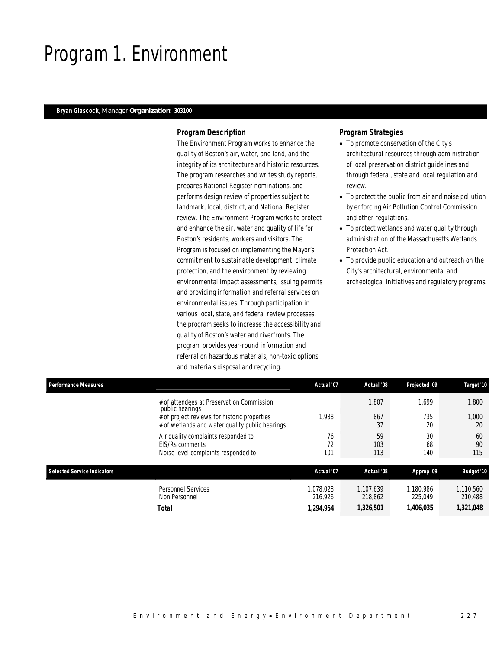## Program 1. Environment

### *Bryan Glascock, Manager Organization: 303100*

### *Program Description*

The Environment Program works to enhance the quality of Boston's air, water, and land, and the integrity of its architecture and historic resources. The program researches and writes study reports, prepares National Register nominations, and performs design review of properties subject to landmark, local, district, and National Register review. The Environment Program works to protect and enhance the air, water and quality of life for Boston's residents, workers and visitors. The Program is focused on implementing the Mayor's commitment to sustainable development, climate protection, and the environment by reviewing environmental impact assessments, issuing permits and providing information and referral services on environmental issues. Through participation in various local, state, and federal review processes, the program seeks to increase the accessibility and quality of Boston's water and riverfronts. The program provides year-round information and referral on hazardous materials, non-toxic options, and materials disposal and recycling.

### *Program Strategies*

- To promote conservation of the City's architectural resources through administration of local preservation district guidelines and through federal, state and local regulation and review.
- To protect the public from air and noise pollution by enforcing Air Pollution Control Commission and other regulations.
- To protect wetlands and water quality through administration of the Massachusetts Wetlands Protection Act.
- To provide public education and outreach on the City's architectural, environmental and archeological initiatives and regulatory programs.

| <b>Performance Measures</b>                                                                                                                                     | Actual '07           | Actual '08           | Projected '09        | Target '10           |
|-----------------------------------------------------------------------------------------------------------------------------------------------------------------|----------------------|----------------------|----------------------|----------------------|
| # of attendees at Preservation Commission<br>public hearings<br># of project reviews for historic properties<br># of wetlands and water quality public hearings | 1.988                | 1,807<br>867<br>37   | 1.699<br>735<br>20   | 1,800<br>1,000<br>20 |
| Air quality complaints responded to<br><b>EIS/Rs comments</b><br>Noise level complaints responded to                                                            | 76<br>72<br>101      | 59<br>103<br>113     | 30<br>68<br>140      | 60<br>90<br>115      |
| <b>Selected Service Indicators</b>                                                                                                                              | Actual '07           | Actual '08           | Approp '09           | <b>Budget '10</b>    |
| Personnel Services<br>Non Personnel                                                                                                                             | 1,078,028<br>216.926 | 1.107.639<br>218,862 | 1.180.986<br>225,049 | 1,110,560<br>210,488 |

*Total 1,294,954 1,326,501 1,406,035 1,321,048*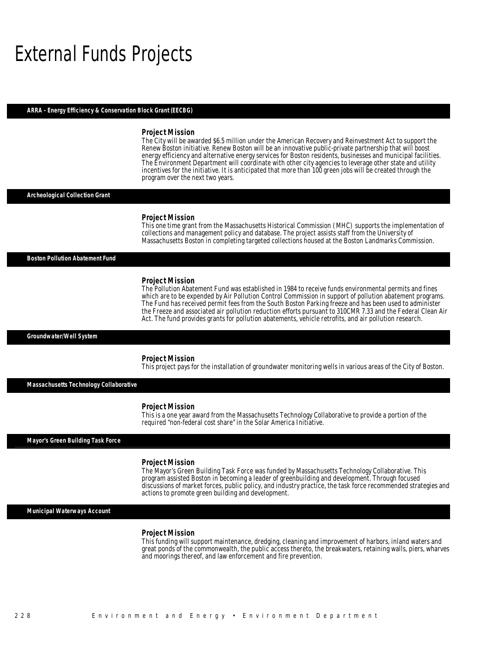## External Funds Projects

#### *ARRA - Energy Efficiency & Conservation Block Grant (EECBG)*

#### *Project Mission*

The City will be awarded \$6.5 million under the American Recovery and Reinvestment Act to support the Renew Boston initiative. Renew Boston will be an innovative public-private partnership that will boost energy efficiency and alternative energy services for Boston residents, businesses and municipal facilities. The Environment Department will coordinate with other city agencies to leverage other state and utility incentives for the initiative. It is anticipated that more than 100 green jobs will be created through the program over the next two years.

*Archeological Collection Grant* 

#### *Project Mission*

Î

This one time grant from the Massachusetts Historical Commission (MHC) supports the implementation of collections and management policy and database. The project assists staff from the University of Massachusetts Boston in completing targeted collections housed at the Boston Landmarks Commission.

#### *Boston Pollution Abatement Fund*

#### *Project Mission*

The Pollution Abatement Fund was established in 1984 to receive funds environmental permits and fines which are to be expended by Air Pollution Control Commission in support of pollution abatement programs. The Fund has received permit fees from the South Boston Parking freeze and has been used to administer the Freeze and associated air pollution reduction efforts pursuant to 310CMR 7.33 and the Federal Clean Air Act. The fund provides grants for pollution abatements, vehicle retrofits, and air pollution research.

*Groundwater/Well System* 

#### *Project Mission*

This project pays for the installation of groundwater monitoring wells in various areas of the City of Boston.

*Massachusetts Technology Collaborative* 

#### *Project Mission*

This is a one year award from the Massachusetts Technology Collaborative to provide a portion of the required "non-federal cost share" in the Solar America Initiative.

### *Mayor's Green Building Task Force*

#### *Project Mission*

The Mayor's Green Building Task Force was funded by Massachusetts Technology Collaborative. This program assisted Boston in becoming a leader of greenbuilding and development. Through focused discussions of market forces, public policy, and industry practice, the task force recommended strategies and actions to promote green building and development.

### *Municipal Waterways Account*

#### *Project Mission*

This funding will support maintenance, dredging, cleaning and improvement of harbors, inland waters and great ponds of the commonwealth, the public access thereto, the breakwaters, retaining walls, piers, wharves and moorings thereof, and law enforcement and fire prevention.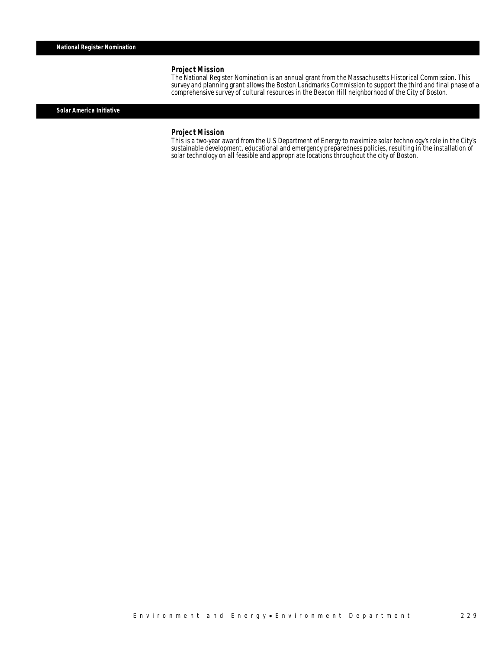### *Project Mission*

The National Register Nomination is an annual grant from the Massachusetts Historical Commission. This survey and planning grant allows the Boston Landmarks Commission to support the third and final phase of a comprehensive survey of cultural resources in the Beacon Hill neighborhood of the City of Boston.

### *Solar America Initiative*

### *Project Mission*

This is a two-year award from the U.S Department of Energy to maximize solar technology's role in the City's sustainable development, educational and emergency preparedness policies, resulting in the installation of solar technology on all feasible and appropriate locations throughout the city of Boston.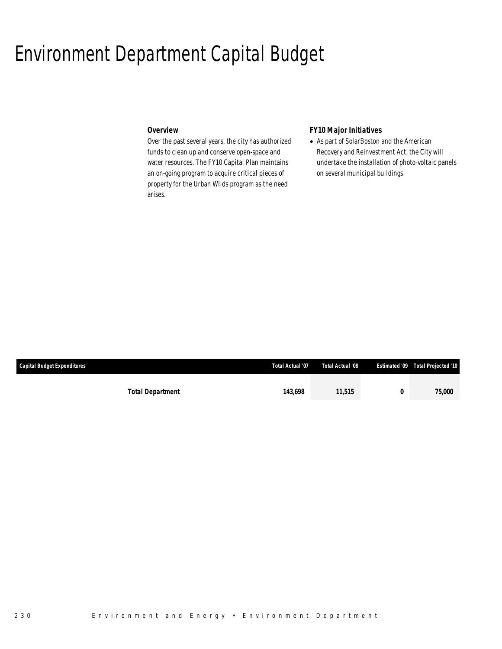## Environment Department Capital Budget

## *Overview*

Over the past several years, the city has authorized funds to clean up and conserve open-space and water resources. The FY10 Capital Plan maintains an on-going program to acquire critical pieces of property for the Urban Wilds program as the need arises.

## *FY10 Major Initiatives*

• As part of SolarBoston and the American Recovery and Reinvestment Act, the City will undertake the installation of photo-voltaic panels on several municipal buildings.

| <b>Capital Budget Expenditures</b> |                         | Total Actual '07 | Total Actual '08 | Estimated '09 Total Projected '10 |
|------------------------------------|-------------------------|------------------|------------------|-----------------------------------|
|                                    |                         |                  |                  |                                   |
|                                    | <b>Total Department</b> | 143.698          | 11,515           | <i>75.000</i>                     |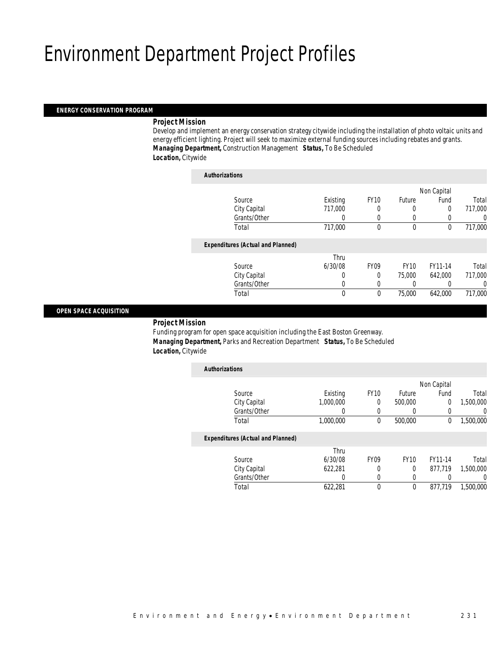## Environment Department Project Profiles

### *ENERGY CONSERVATION PROGRAM*

### *Project Mission*

Develop and implement an energy conservation strategy citywide including the installation of photo voltaic units and energy efficient lighting. Project will seek to maximize external funding sources including rebates and grants. *Managing Department,* Construction Management *Status,* To Be Scheduled *Location,* Citywide

| <b>Authorizations</b>                    |             |             |             |             |         |
|------------------------------------------|-------------|-------------|-------------|-------------|---------|
|                                          |             |             |             | Non Capital |         |
| Source                                   | Existing    | <b>FY10</b> | Future      | Fund        | Total   |
| City Capital                             | 717,000     |             | 0           | 0           | 717,000 |
| Grants/Other                             | 0           | $\Omega$    | 0           |             | 0       |
| Total                                    | 717,000     | 0           | $\mathbf 0$ | 0           | 717,000 |
| <b>Expenditures (Actual and Planned)</b> |             |             |             |             |         |
|                                          | Thru        |             |             |             |         |
| Source                                   | 6/30/08     | <b>FY09</b> | <b>FY10</b> | FY11-14     | Total   |
| City Capital                             | 0           | 0           | 75,000      | 642.000     | 717,000 |
| Grants/Other                             | 0           | $\Omega$    |             |             | 0       |
| Total                                    | $\mathbf 0$ | 0           | 75,000      | 642.000     | 717,000 |
|                                          |             |             |             |             |         |

### *OPEN SPACE ACQUISITION*

### *Project Mission*

Funding program for open space acquisition including the East Boston Greenway. *Managing Department,* Parks and Recreation Department *Status,* To Be Scheduled *Location,* Citywide

| <b>Authorizations</b>                    |           |             |             |             |                |
|------------------------------------------|-----------|-------------|-------------|-------------|----------------|
|                                          |           |             |             | Non Capital |                |
| Source                                   | Existing  | <b>FY10</b> | Future      | Fund        | Total          |
| City Capital                             | 1.000.000 | 0           | 500,000     | 0           | 1,500,000      |
| Grants/Other                             |           | 0           | 0           | 0           | $\overline{0}$ |
| Total                                    | 1,000,000 | $\theta$    | 500,000     | $\theta$    | 1,500,000      |
| <b>Expenditures (Actual and Planned)</b> |           |             |             |             |                |
|                                          | Thru      |             |             |             |                |
| Source                                   | 6/30/08   | <b>FY09</b> | <b>FY10</b> | FY11-14     | Total          |
| City Capital                             | 622.281   | 0           | 0           | 877.719     | 1,500,000      |
| Grants/Other                             | 0         | $\Omega$    | 0           |             | $\Omega$       |
| Total                                    | 622,281   | $\Omega$    | 0           | 877.719     | 1.500.000      |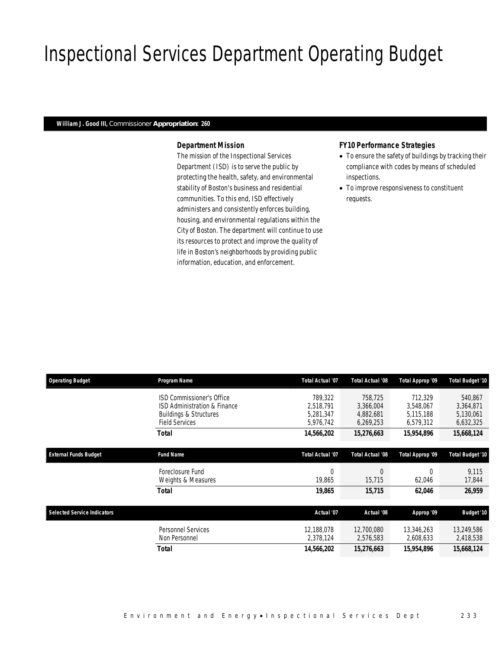# Inspectional Services Department Operating Budget

### *William J. Good III, Commissioner Appropriation: 260*

### *Department Mission*

The mission of the Inspectional Services Department (ISD) is to serve the public by protecting the health, safety, and environmental stability of Boston's business and residential communities. To this end, ISD effectively administers and consistently enforces building, housing, and environmental regulations within the City of Boston. The department will continue to use its resources to protect and improve the quality of life in Boston's neighborhoods by providing public information, education, and enforcement.

### *FY10 Performance Strategies*

- To ensure the safety of buildings by tracking their compliance with codes by means of scheduled inspections.
- To improve responsiveness to constituent requests.

| <b>Operating Budget</b>            | Program Name                                                                                                            | <b>Total Actual '07</b>                        | Total Actual '08                               | Total Approp '09                               | Total Budget '10                               |
|------------------------------------|-------------------------------------------------------------------------------------------------------------------------|------------------------------------------------|------------------------------------------------|------------------------------------------------|------------------------------------------------|
|                                    | ISD Commissioner's Office<br>ISD Administration & Finance<br><b>Buildings &amp; Structures</b><br><b>Field Services</b> | 789.322<br>2,518,791<br>5,281,347<br>5,976,742 | 758,725<br>3,366,004<br>4,882,681<br>6,269,253 | 712.329<br>3,548,067<br>5,115,188<br>6,579,312 | 540,867<br>3,364,871<br>5,130,061<br>6,632,325 |
|                                    | <b>Total</b>                                                                                                            | 14,566,202                                     | 15,276,663                                     | 15,954,896                                     | 15,668,124                                     |
| <b>External Funds Budget</b>       | <b>Fund Name</b>                                                                                                        | <b>Total Actual '07</b>                        | Total Actual '08                               | Total Approp '09                               | Total Budget '10                               |
|                                    | Foreclosure Fund<br>Weights & Measures                                                                                  | $\Omega$<br>19,865                             | $\Omega$<br>15,715                             | 62,046                                         | 9,115<br>17,844                                |
|                                    | <b>Total</b>                                                                                                            | 19,865                                         | 15,715                                         | 62,046                                         | 26,959                                         |
| <b>Selected Service Indicators</b> |                                                                                                                         | Actual '07                                     | Actual '08                                     | Approp '09                                     | <b>Budget '10</b>                              |
|                                    | <b>Personnel Services</b><br>Non Personnel                                                                              | 12,188,078<br>2,378,124                        | 12,700,080<br>2,576,583                        | 13,346,263<br>2,608,633                        | 13,249,586<br>2,418,538                        |
|                                    | <b>Total</b>                                                                                                            | 14,566,202                                     | 15,276,663                                     | 15,954,896                                     | 15,668,124                                     |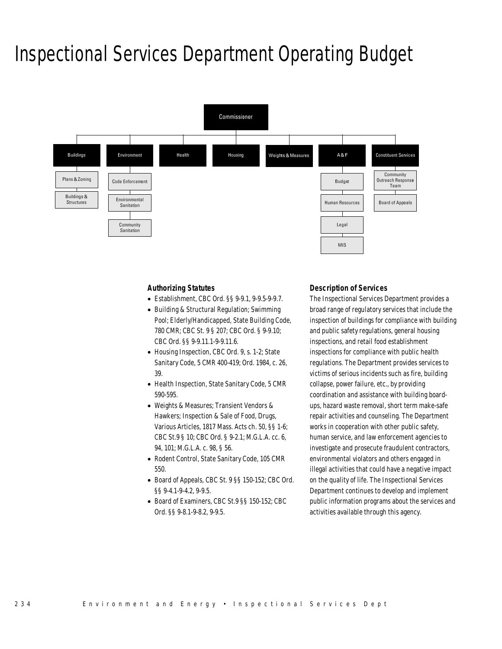## Inspectional Services Department Operating Budget



### *Authorizing Statutes*

- Establishment, CBC Ord. §§ 9-9.1, 9-9.5-9-9.7.
- Building & Structural Regulation; Swimming Pool; Elderly/Handicapped, State Building Code, 780 CMR; CBC St. 9 § 207; CBC Ord. § 9-9.10; CBC Ord. §§ 9-9.11.1-9-9.11.6.
- Housing Inspection, CBC Ord. 9, s. 1-2; State Sanitary Code, 5 CMR 400-419; Ord. 1984, c. 26, 39.
- Health Inspection, State Sanitary Code, 5 CMR 590-595.
- Weights & Measures; Transient Vendors & Hawkers; Inspection & Sale of Food, Drugs, Various Articles, 1817 Mass. Acts ch. 50, §§ 1-6; CBC St.9 § 10; CBC Ord. § 9-2.1; M.G.L.A. cc. 6, 94, 101; M.G.L.A. c. 98, § 56.
- Rodent Control, State Sanitary Code, 105 CMR 550.
- Board of Appeals, CBC St. 9 §§ 150-152; CBC Ord. §§ 9-4.1-9-4.2, 9-9.5.
- Board of Examiners, CBC St.9 §§ 150-152; CBC Ord. §§ 9-8.1-9-8.2, 9-9.5.

### *Description of Services*

The Inspectional Services Department provides a broad range of regulatory services that include the inspection of buildings for compliance with building and public safety regulations, general housing inspections, and retail food establishment inspections for compliance with public health regulations. The Department provides services to victims of serious incidents such as fire, building collapse, power failure, etc., by providing coordination and assistance with building boardups, hazard waste removal, short term make-safe repair activities and counseling. The Department works in cooperation with other public safety, human service, and law enforcement agencies to investigate and prosecute fraudulent contractors, environmental violators and others engaged in illegal activities that could have a negative impact on the quality of life. The Inspectional Services Department continues to develop and implement public information programs about the services and activities available through this agency.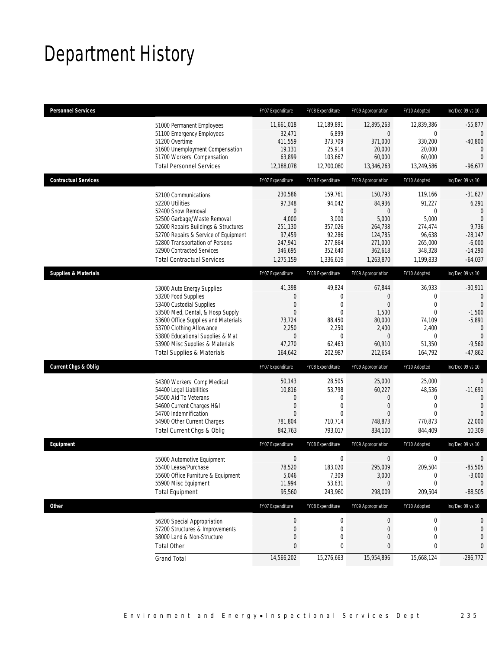# Department History

| <b>Personnel Services</b>       |                                                                                                                                                                                                                                                                                                      | FY07 Expenditure                                                                                   | FY08 Expenditure                                                                                      | FY09 Appropriation                                                                                      | FY10 Adopted                                                                                          | Inc/Dec 09 vs 10                                                                                              |
|---------------------------------|------------------------------------------------------------------------------------------------------------------------------------------------------------------------------------------------------------------------------------------------------------------------------------------------------|----------------------------------------------------------------------------------------------------|-------------------------------------------------------------------------------------------------------|---------------------------------------------------------------------------------------------------------|-------------------------------------------------------------------------------------------------------|---------------------------------------------------------------------------------------------------------------|
|                                 | 51000 Permanent Employees<br>51100 Emergency Employees<br>51200 Overtime<br>51600 Unemployment Compensation<br>51700 Workers' Compensation<br><b>Total Personnel Services</b>                                                                                                                        | 11,661,018<br>32,471<br>411,559<br>19,131<br>63,899<br>12,188,078                                  | 12,189,891<br>6,899<br>373,709<br>25,914<br>103,667<br>12,700,080                                     | 12,895,263<br>$\mathbf 0$<br>371,000<br>20,000<br>60,000<br>13,346,263                                  | 12,839,386<br>0<br>330,200<br>20,000<br>60,000<br>13,249,586                                          | $-55,877$<br>0<br>$-40,800$<br>$\mathbf{0}$<br>$\Omega$<br>-96,677                                            |
| <b>Contractual Services</b>     |                                                                                                                                                                                                                                                                                                      | FY07 Expenditure                                                                                   | FY08 Expenditure                                                                                      | FY09 Appropriation                                                                                      | FY10 Adopted                                                                                          | Inc/Dec 09 vs 10                                                                                              |
|                                 | 52100 Communications<br>52200 Utilities<br>52400 Snow Removal<br>52500 Garbage/Waste Removal<br>52600 Repairs Buildings & Structures<br>52700 Repairs & Service of Equipment<br>52800 Transportation of Persons<br>52900 Contracted Services<br><b>Total Contractual Services</b>                    | 230,586<br>97,348<br>$\mathbf{0}$<br>4,000<br>251,130<br>97,459<br>247,941<br>346,695<br>1,275,159 | 159,761<br>94,042<br>$\overline{0}$<br>3,000<br>357,026<br>92,286<br>277,864<br>352,640<br>1,336,619  | 150,793<br>84,936<br>$\theta$<br>5,000<br>264,738<br>124,785<br>271,000<br>362,618<br>1,263,870         | 119,166<br>91,227<br>$\mathbf 0$<br>5,000<br>274,474<br>96,638<br>265,000<br>348,328<br>1,199,833     | $-31,627$<br>6,291<br>$\Omega$<br>$\Omega$<br>9,736<br>$-28,147$<br>$-6,000$<br>$-14,290$<br>$-64,037$        |
| <b>Supplies &amp; Materials</b> |                                                                                                                                                                                                                                                                                                      | FY07 Expenditure                                                                                   | FY08 Expenditure                                                                                      | FY09 Appropriation                                                                                      | FY10 Adopted                                                                                          | Inc/Dec 09 vs 10                                                                                              |
|                                 | 53000 Auto Energy Supplies<br>53200 Food Supplies<br>53400 Custodial Supplies<br>53500 Med, Dental, & Hosp Supply<br>53600 Office Supplies and Materials<br>53700 Clothing Allowance<br>53800 Educational Supplies & Mat<br>53900 Misc Supplies & Materials<br><b>Total Supplies &amp; Materials</b> | 41,398<br>0<br>$\mathbf{0}$<br>$\mathbf{0}$<br>73,724<br>2,250<br>0<br>47,270<br>164,642           | 49,824<br>$\mathbf{0}$<br>$\mathbf{0}$<br>$\overline{0}$<br>88,450<br>2,250<br>0<br>62,463<br>202,987 | 67,844<br>$\theta$<br>$\overline{0}$<br>1,500<br>80,000<br>2,400<br>$\overline{0}$<br>60,910<br>212,654 | 36,933<br>$\mathbf{0}$<br>$\overline{0}$<br>$\mathbf{0}$<br>74,109<br>2,400<br>0<br>51,350<br>164,792 | $-30,911$<br>$\mathbf 0$<br>$\theta$<br>$-1,500$<br>$-5,891$<br>$\theta$<br>$\theta$<br>$-9,560$<br>$-47,862$ |
| <b>Current Chgs &amp; Oblig</b> |                                                                                                                                                                                                                                                                                                      | FY07 Expenditure                                                                                   | FY08 Expenditure                                                                                      | FY09 Appropriation                                                                                      | FY10 Adopted                                                                                          | Inc/Dec 09 vs 10                                                                                              |
|                                 | 54300 Workers' Comp Medical<br>54400 Legal Liabilities<br>54500 Aid To Veterans<br>54600 Current Charges H&I<br>54700 Indemnification<br>54900 Other Current Charges<br>Total Current Chgs & Oblig                                                                                                   | 50,143<br>10,816<br>0<br>$\mathbf 0$<br>$\Omega$<br>781,804<br>842,763                             | 28,505<br>53,798<br>0<br>0<br>$\theta$<br>710,714<br>793,017                                          | 25,000<br>60,227<br>$\theta$<br>$\theta$<br>$\Omega$<br>748,873<br>834,100                              | 25,000<br>48,536<br>$\mathbf{0}$<br>$\mathbf{0}$<br>$\theta$<br>770,873<br>844,409                    | $\overline{0}$<br>$-11,691$<br>0<br>$\theta$<br>0<br>22,000<br>10,309                                         |
| Equipment                       |                                                                                                                                                                                                                                                                                                      | FY07 Expenditure                                                                                   | FY08 Expenditure                                                                                      | FY09 Appropriation                                                                                      | FY10 Adopted                                                                                          | Inc/Dec 09 vs 10                                                                                              |
|                                 | 55000 Automotive Equipment<br>55400 Lease/Purchase<br>55600 Office Furniture & Equipment<br>55900 Misc Equipment<br><b>Total Equipment</b>                                                                                                                                                           | $\mathbf 0$<br>78,520<br>5,046<br>11,994<br>95,560                                                 | $\mathbf 0$<br>183,020<br>7,309<br>53,631<br>243,960                                                  | $\mathbf 0$<br>295,009<br>3,000<br>$\mathbf 0$<br>298,009                                               | 0<br>209,504<br>0<br>0<br>209,504                                                                     | 0<br>$-85,505$<br>$-3,000$<br>$\mathbf{0}$<br>$-88,505$                                                       |
| Other                           |                                                                                                                                                                                                                                                                                                      | FY07 Expenditure                                                                                   | FY08 Expenditure                                                                                      | FY09 Appropriation                                                                                      | FY10 Adopted                                                                                          | Inc/Dec 09 vs 10                                                                                              |
|                                 | 56200 Special Appropriation<br>57200 Structures & Improvements<br>58000 Land & Non-Structure<br><b>Total Other</b>                                                                                                                                                                                   | 0<br>$\mathbf 0$<br>$\mathbf{0}$<br>0<br>14,566,202                                                | 0<br>$\mathbf 0$<br>0<br>0<br>15,276,663                                                              | $\theta$<br>$\theta$<br>$\overline{0}$<br>$\bf{0}$<br>15,954,896                                        | 0<br>$\mathbf 0$<br>$\mathbf{0}$<br>0<br>15,668,124                                                   | 0<br>0<br>0<br>0<br>$-286,772$                                                                                |
|                                 | <b>Grand Total</b>                                                                                                                                                                                                                                                                                   |                                                                                                    |                                                                                                       |                                                                                                         |                                                                                                       |                                                                                                               |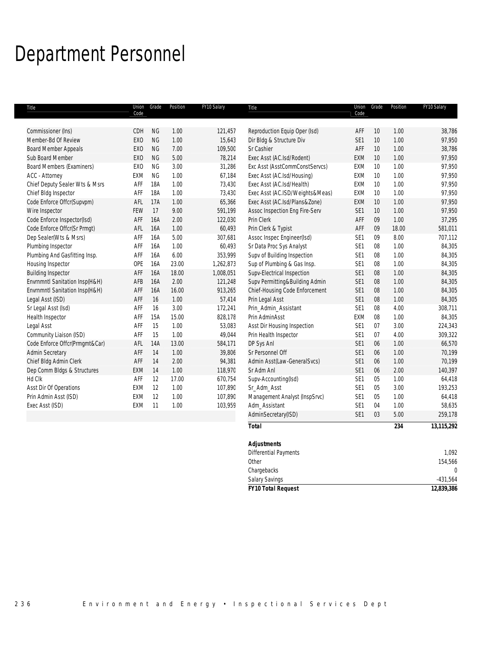# Department Personnel

| Commissioner (Ins)<br>CDH<br><b>NG</b><br>1.00<br>121,457<br>Reproduction Equip Oper (Isd)<br>AFF<br>10                           | 38,786<br>1.00      |
|-----------------------------------------------------------------------------------------------------------------------------------|---------------------|
| <b>NG</b><br>1.00<br>SE <sub>1</sub><br>10<br>Member-Bd Of Review<br><b>EXO</b><br>15,643<br>Dir Bldg & Structure Div             | 1.00<br>97,950      |
| <b>NG</b><br>7.00<br>Sr Cashier<br>AFF<br><b>Board Member Appeals</b><br><b>EXO</b><br>109,500<br>10                              | 38,786<br>1.00      |
| <b>NG</b><br>Sub Board Member<br>5.00<br>78,214<br>Exec Asst (AC.Isd/Rodent)<br>EXM<br>EX <sub>0</sub><br>10                      | 1.00<br>97,950      |
| EX <sub>O</sub><br><b>NG</b><br>3.00<br>Exc Asst (AsstCommConstServcs)<br><b>Board Members (Examiners)</b><br>31,286<br>EXM<br>10 | 1.00<br>97,950      |
| <b>NG</b><br>ACC - Attorney<br>EXM<br>1.00<br>67,184<br>Exec Asst (AC.Isd/Housing)<br>EXM<br>10                                   | 1.00<br>97,950      |
| <b>18A</b><br>1.00<br>Chief Deputy Sealer Wts & Msrs<br>AFF<br>73,430<br>Exec Asst (AC.Isd/Health)<br>EXM<br>10                   | 1.00<br>97,950      |
| 18A<br>73,430<br>Chief Bldg Inspector<br>AFF<br>1.00<br>Exec Asst (AC.ISD/Weights&Meas)<br>EXM<br>10                              | 97,950<br>1.00      |
| Code Enforce Offcr(Supvpm)<br>AFL<br>17A<br>65,366<br>Exec Asst (AC.Isd/Plans&Zone)<br>1.00<br>EXM<br>10                          | 1.00<br>97,950      |
| Wire Inspector<br>FEW<br>17<br>9.00<br>591,199<br>Assoc Inspection Eng Fire-Serv<br>10<br>SE <sub>1</sub>                         | 97,950<br>1.00      |
| Code Enforce Inspector(Isd)<br>16A<br>AFF<br>2.00<br>122,030<br>Prin Clerk<br>AFF<br>09                                           | 1.00<br>37,295      |
| Code Enforce Offcr(Sr Prmgt)<br>AFL<br>16A<br>1.00<br>60,493<br>Prin Clerk & Typist<br>AFF<br>09                                  | 581,011<br>18.00    |
| Dep Sealer(Wts & Msrs)<br><b>16A</b><br>5.00<br>307,681<br>Assoc Inspec Engineer(Isd)<br>SE1<br>AFF<br>09                         | 8.00<br>707,112     |
| Sr Data Proc Sys Analyst<br>Plumbing Inspector<br>AFF<br>16A<br>1.00<br>60,493<br>SE1<br>08                                       | 1.00<br>84,305      |
| Plumbing And Gasfitting Insp.<br>16A<br>6.00<br>353,999<br>Supv of Building Inspection<br>SE1<br>08<br>AFF                        | 1.00<br>84,305      |
| Housing Inspector<br>OPE<br>16A<br>23.00<br>1,262,873<br>Sup of Plumbing & Gas Insp.<br>SE1<br>08                                 | 1.00<br>84,305      |
| <b>Building Inspector</b><br>18.00<br>Supv-Electrical Inspection<br>AFF<br>16A<br>1,008,051<br>SE1<br>08                          | 1.00<br>84,305      |
| Envrnmntl Sanitation Insp(H&H)<br>2.00<br>Supv Permitting&Building Admin<br>SE1<br>AFB<br>16A<br>121,248<br>08                    | 1.00<br>84,305      |
| Envrnmntl Sanitation Insp(H&H)<br><b>16A</b><br>16.00<br>Chief-Housing Code Enforcement<br>SE1<br>08<br>AFF<br>913,265            | 1.00<br>84,305      |
| 16<br>1.00<br>SE1<br>Legal Asst (ISD)<br>AFF<br>57,414<br>Prin Legal Asst<br>08                                                   | 1.00<br>84,305      |
| Sr Legal Asst (Isd)<br>3.00<br>SE1<br>AFF<br>16<br>172,241<br>Prin_Admin_Assistant<br>08                                          | 308,711<br>4.00     |
| Health Inspector<br>15A<br>15.00<br>828,178<br>Prin AdminAsst<br>EXM<br>08<br>AFF                                                 | 1.00<br>84,305      |
| 1.00<br>Legal Asst<br>AFF<br>15<br>53,083<br>Asst Dir Housing Inspection<br>SE1<br>07                                             | 3.00<br>224,343     |
| 15<br>Community Liaison (ISD)<br>AFF<br>1.00<br>49,044<br>SE1<br>07<br>Prin Health Inspector                                      | 309,322<br>4.00     |
| Code Enforce Offcr(Prmgmt&Car)<br>AFL<br><b>14A</b><br>13.00<br>584,171<br>DP Sys Anl<br>SE1<br>06                                | 1.00<br>66,570      |
| <b>Admin Secretary</b><br>1.00<br>SE1<br>AFF<br>14<br>39,806<br>Sr Personnel Off<br>06                                            | 1.00<br>70,199      |
| Chief Bldg Admin Clerk<br>2.00<br>SE1<br>AFF<br>14<br>94,381<br>Admin Asst(Law-GeneralSvcs)<br>06                                 | 1.00<br>70,199      |
| Dep Comm Bldgs & Structures<br>EXM<br>14<br>1.00<br>118,970<br>Sr Adm Anl<br>SE1<br>06                                            | 2.00<br>140,397     |
| Hd Clk<br>12<br>SE <sub>1</sub><br>AFF<br>17.00<br>Supv-Accounting(Isd)<br>05<br>670,754                                          | 64,418<br>1.00      |
| Asst Dir Of Operations<br>12<br>1.00<br>SE1<br>EXM<br>107,890<br>Sr_Adm_Asst<br>05                                                | 3.00<br>193,253     |
| Prin Admin Asst (ISD)<br>12<br>1.00<br>107,890<br>Management Analyst (InspSrvc)<br>SE1<br>05<br>EXM                               | 1.00<br>64,418      |
| Exec Asst (ISD)<br>EXM<br>11<br>1.00<br>103,959<br>Adm_Assistant<br>SE1<br>04                                                     | 1.00<br>58,635      |
| AdminSecretary(ISD)<br>SE1<br>03                                                                                                  | 5.00<br>259,178     |
| <b>Total</b>                                                                                                                      | 13, 115, 292<br>234 |
| <b>Adjustments</b>                                                                                                                |                     |
| Differential Payments                                                                                                             | 1,092               |
| Other                                                                                                                             | 154,566             |
| Chargebacks                                                                                                                       | $\mathbf{0}$        |

Salary Savings -431,564 *FY10 Total Request 12,839,386*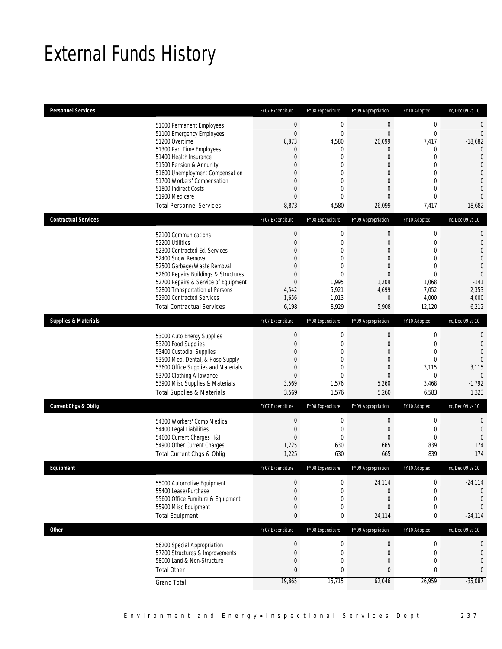# External Funds History

| <b>Personnel Services</b>       |                                                                                                                                                                                                                                                                                                                    | FY07 Expenditure                                                                                                                                              | FY08 Expenditure                                                                                                           | FY09 Appropriation                                                                                                                                                | FY10 Adopted                                                                                                           | Inc/Dec 09 vs 10                                                                                                                                                                    |
|---------------------------------|--------------------------------------------------------------------------------------------------------------------------------------------------------------------------------------------------------------------------------------------------------------------------------------------------------------------|---------------------------------------------------------------------------------------------------------------------------------------------------------------|----------------------------------------------------------------------------------------------------------------------------|-------------------------------------------------------------------------------------------------------------------------------------------------------------------|------------------------------------------------------------------------------------------------------------------------|-------------------------------------------------------------------------------------------------------------------------------------------------------------------------------------|
|                                 | 51000 Permanent Employees<br>51100 Emergency Employees<br>51200 Overtime<br>51300 Part Time Employees<br>51400 Health Insurance<br>51500 Pension & Annunity<br>51600 Unemployment Compensation<br>51700 Workers' Compensation<br>51800 Indirect Costs<br>51900 Medicare<br><b>Total Personnel Services</b>         | $\mathbf 0$<br>$\overline{0}$<br>8,873<br>$\overline{0}$<br>$\overline{0}$<br>$\mathbf 0$<br>0<br>$\overline{0}$<br>$\overline{0}$<br>$\overline{0}$<br>8,873 | $\mathbf 0$<br>$\mathbf{0}$<br>4,580<br>0<br>$\mathbf 0$<br>0<br>0<br>$\boldsymbol{0}$<br>0<br>$\mathbf 0$<br>4,580        | $\boldsymbol{0}$<br>$\overline{0}$<br>26,099<br>0<br>$\overline{0}$<br>$\mathbf 0$<br>$\overline{0}$<br>$\mathbf 0$<br>$\overline{0}$<br>$\overline{0}$<br>26,099 | $\boldsymbol{0}$<br>$\mathbf 0$<br>7,417<br>0<br>0<br>0<br>$\Omega$<br>0<br>0<br>$\overline{0}$<br>7,417               | $\mathbf 0$<br>$\overline{0}$<br>$-18,682$<br>$\overline{0}$<br>$\mathbf{0}$<br>$\overline{0}$<br>$\overline{0}$<br>$\overline{0}$<br>$\overline{0}$<br>$\overline{0}$<br>$-18,682$ |
| <b>Contractual Services</b>     |                                                                                                                                                                                                                                                                                                                    | FY07 Expenditure                                                                                                                                              | FY08 Expenditure                                                                                                           | FY09 Appropriation                                                                                                                                                | FY10 Adopted                                                                                                           | Inc/Dec 09 vs 10                                                                                                                                                                    |
|                                 | 52100 Communications<br>52200 Utilities<br>52300 Contracted Ed. Services<br>52400 Snow Removal<br>52500 Garbage/Waste Removal<br>52600 Repairs Buildings & Structures<br>52700 Repairs & Service of Equipment<br>52800 Transportation of Persons<br>52900 Contracted Services<br><b>Total Contractual Services</b> | $\boldsymbol{0}$<br>$\boldsymbol{0}$<br>$\overline{0}$<br>$\overline{0}$<br>$\overline{0}$<br>$\boldsymbol{0}$<br>$\overline{0}$<br>4,542<br>1,656<br>6,198   | $\boldsymbol{0}$<br>$\mathbf 0$<br>$\mathbf 0$<br>$\boldsymbol{0}$<br>0<br>$\mathbf 0$<br>1,995<br>5,921<br>1,013<br>8,929 | $\boldsymbol{0}$<br>$\mathbf 0$<br>$\overline{0}$<br>$\overline{0}$<br>$\overline{0}$<br>$\mathbf 0$<br>1,209<br>4,699<br>$\mathbf 0$<br>5,908                    | $\boldsymbol{0}$<br>$\mathbf 0$<br>$\Omega$<br>$\overline{0}$<br>0<br>$\mathbf 0$<br>1,068<br>7,052<br>4,000<br>12,120 | $\mathbf 0$<br>$\mathbf{0}$<br>$\overline{0}$<br>$\mathbf{0}$<br>$\mathbf{0}$<br>$\mathbf{0}$<br>$-141$<br>2,353<br>4,000<br>6,212                                                  |
| <b>Supplies &amp; Materials</b> |                                                                                                                                                                                                                                                                                                                    | FY07 Expenditure                                                                                                                                              | FY08 Expenditure                                                                                                           | FY09 Appropriation                                                                                                                                                | FY10 Adopted                                                                                                           | Inc/Dec 09 vs 10                                                                                                                                                                    |
|                                 | 53000 Auto Energy Supplies<br>53200 Food Supplies<br>53400 Custodial Supplies<br>53500 Med, Dental, & Hosp Supply<br>53600 Office Supplies and Materials<br>53700 Clothing Allowance<br>53900 Misc Supplies & Materials<br><b>Total Supplies &amp; Materials</b>                                                   | 0<br>$\overline{0}$<br>0<br>$\overline{0}$<br>$\boldsymbol{0}$<br>$\boldsymbol{0}$<br>3,569<br>3,569                                                          | 0<br>$\mathbf 0$<br>$\boldsymbol{0}$<br>0<br>$\boldsymbol{0}$<br>$\mathbf 0$<br>1,576<br>1,576                             | 0<br>$\mathbf 0$<br>$\mathbf 0$<br>$\overline{0}$<br>$\boldsymbol{0}$<br>$\mathbf 0$<br>5,260<br>5,260                                                            | $\boldsymbol{0}$<br>$\mathbf{0}$<br>$\mathbf 0$<br>0<br>3,115<br>0<br>3,468<br>6,583                                   | $\mathbf 0$<br>$\mathbf{0}$<br>$\mathbf{0}$<br>$\theta$<br>3,115<br>$\boldsymbol{0}$<br>$-1,792$<br>1,323                                                                           |
| Current Chgs & Oblig            |                                                                                                                                                                                                                                                                                                                    | FY07 Expenditure                                                                                                                                              | FY08 Expenditure                                                                                                           | FY09 Appropriation                                                                                                                                                | FY10 Adopted                                                                                                           | Inc/Dec 09 vs 10                                                                                                                                                                    |
|                                 | 54300 Workers' Comp Medical<br>54400 Legal Liabilities<br>54600 Current Charges H&I<br>54900 Other Current Charges<br>Total Current Chgs & Oblig                                                                                                                                                                   | $\boldsymbol{0}$<br>$\boldsymbol{0}$<br>$\overline{0}$<br>1,225<br>1,225                                                                                      | $\boldsymbol{0}$<br>$\mathbf 0$<br>$\mathbf{0}$<br>630<br>630                                                              | $\boldsymbol{0}$<br>$\mathbf 0$<br>$\overline{0}$<br>665<br>665                                                                                                   | $\boldsymbol{0}$<br>$\boldsymbol{0}$<br>$\mathbf{0}$<br>839<br>839                                                     | $\theta$<br>$\mathbf 0$<br>$\mathbf{0}$<br>174<br>174                                                                                                                               |
| <b>Fauinment</b>                |                                                                                                                                                                                                                                                                                                                    | FY07 Expenditure                                                                                                                                              | FY08 Expenditure                                                                                                           | FY09 Appropriation                                                                                                                                                | FY10 Adopted                                                                                                           | Inc/Dec 09 vs 10                                                                                                                                                                    |
|                                 | 55000 Automotive Equipment<br>55400 Lease/Purchase<br>55600 Office Furniture & Equipment<br>55900 Misc Equipment<br><b>Total Equipment</b>                                                                                                                                                                         | 0<br>$\overline{0}$<br>$\boldsymbol{0}$<br>$\boldsymbol{0}$<br>$\mathbf{0}$                                                                                   | 0<br>0<br>$\boldsymbol{0}$<br>$\mathbf 0$<br>0                                                                             | 24,114<br>0<br>0<br>$\overline{0}$<br>24,114                                                                                                                      | 0<br>0<br>0<br>0<br>0                                                                                                  | $-24,114$<br>$\mathbf 0$<br>$\theta$<br>$\mathbf{0}$<br>$-24,114$                                                                                                                   |
| <b>Other</b>                    |                                                                                                                                                                                                                                                                                                                    | FY07 Expenditure                                                                                                                                              | FY08 Expenditure                                                                                                           | FY09 Appropriation                                                                                                                                                | FY10 Adopted                                                                                                           | Inc/Dec 09 vs 10                                                                                                                                                                    |
|                                 | 56200 Special Appropriation<br>57200 Structures & Improvements<br>58000 Land & Non-Structure<br><b>Total Other</b>                                                                                                                                                                                                 | $\boldsymbol{0}$<br>$\boldsymbol{0}$<br>$\boldsymbol{0}$<br>$\mathbf{0}$<br>19,865                                                                            | $\boldsymbol{0}$<br>$\boldsymbol{0}$<br>$\boldsymbol{0}$<br>0<br>15,715                                                    | 0<br>$\mathbf 0$<br>$\overline{0}$<br>0<br>62,046                                                                                                                 | $\boldsymbol{0}$<br>$\boldsymbol{0}$<br>0<br>0<br>26,959                                                               | $\mathbf 0$<br>$\mathbf{0}$<br>$\mathbf 0$<br>$\mathbf{0}$<br>$-35,087$                                                                                                             |
|                                 | <b>Grand Total</b>                                                                                                                                                                                                                                                                                                 |                                                                                                                                                               |                                                                                                                            |                                                                                                                                                                   |                                                                                                                        |                                                                                                                                                                                     |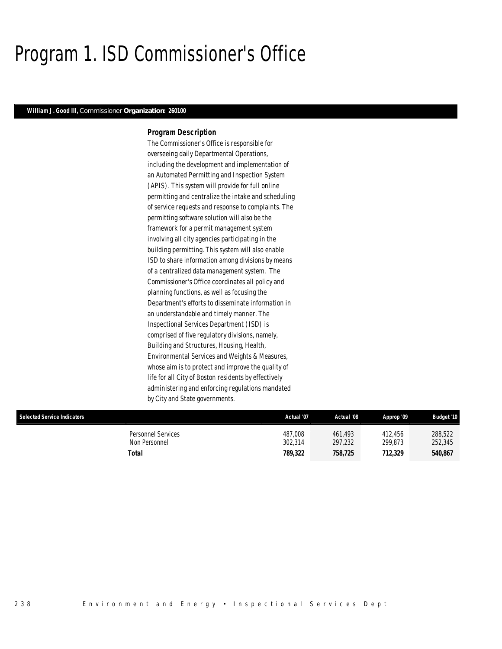# Program 1. ISD Commissioner's Office

### *William J. Good III, Commissioner Organization: 260100*

### *Program Description*

The Commissioner's Office is responsible for overseeing daily Departmental Operations, including the development and implementation of an Automated Permitting and Inspection System (APIS). This system will provide for full online permitting and centralize the intake and scheduling of service requests and response to complaints. The permitting software solution will also be the framework for a permit management system involving all city agencies participating in the building permitting. This system will also enable ISD to share information among divisions by means of a centralized data management system. The Commissioner's Office coordinates all policy and planning functions, as well as focusing the Department's efforts to disseminate information in an understandable and timely manner. The Inspectional Services Department (ISD) is comprised of five regulatory divisions, namely, Building and Structures, Housing, Health, Environmental Services and Weights & Measures, whose aim is to protect and improve the quality of life for all City of Boston residents by effectively administering and enforcing regulations mandated by City and State governments.

| <b>Selected Service Indicators</b>  | Actual '07         | Actual '08         | Approp '09         | <b>Budget '10</b>  |
|-------------------------------------|--------------------|--------------------|--------------------|--------------------|
| Personnel Services<br>Non Personnel | 487.008<br>302.314 | 461.493<br>297.232 | 412.456<br>299.873 | 288.522<br>252,345 |
| Total                               | 789.322            | 758,725            | 712.329            | 540,867            |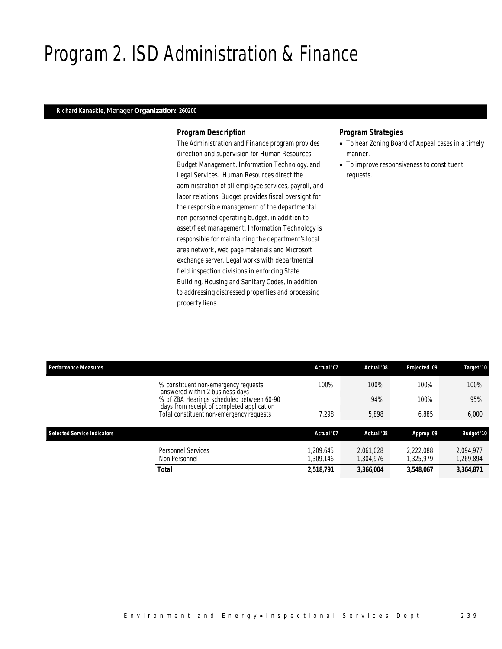# Program 2. ISD Administration & Finance

### *Richard Kanaskie, Manager Organization: 260200*

### *Program Description*

The Administration and Finance program provides direction and supervision for Human Resources, Budget Management, Information Technology, and Legal Services. Human Resources direct the administration of all employee services, payroll, and labor relations. Budget provides fiscal oversight for the responsible management of the departmental non-personnel operating budget, in addition to asset/fleet management. Information Technology is responsible for maintaining the department's local area network, web page materials and Microsoft exchange server. Legal works with departmental field inspection divisions in enforcing State Building, Housing and Sanitary Codes, in addition to addressing distressed properties and processing property liens.

### *Program Strategies*

- To hear Zoning Board of Appeal cases in a timely manner.
- To improve responsiveness to constituent requests.

| <b>Performance Measures</b>                                                                                                         |                                                                         | Actual '07             | Actual '08             | Projected '09          | Target '10             |
|-------------------------------------------------------------------------------------------------------------------------------------|-------------------------------------------------------------------------|------------------------|------------------------|------------------------|------------------------|
|                                                                                                                                     | % constituent non-emergency requests<br>answered within 2 business days | 100%                   | 100%                   | 100%                   | 100%                   |
| % of ZBA Hearings scheduled between 60-90<br>days from receipt of completed application<br>Total constituent non-emergency requests |                                                                         |                        | 94%                    | 100%                   | 95%                    |
|                                                                                                                                     | 7,298                                                                   | 5,898                  | 6.885                  | 6,000                  |                        |
| <b>Selected Service Indicators</b>                                                                                                  |                                                                         | Actual '07             | Actual '08             | Approp '09             | <b>Budget '10</b>      |
|                                                                                                                                     | Personnel Services<br>Non Personnel                                     | 1.209.645<br>1.309.146 | 2.061.028<br>1,304,976 | 2.222.088<br>1.325.979 | 2.094.977<br>1,269,894 |
|                                                                                                                                     | Total                                                                   | 2,518,791              | 3,366,004              | 3,548,067              | 3,364,871              |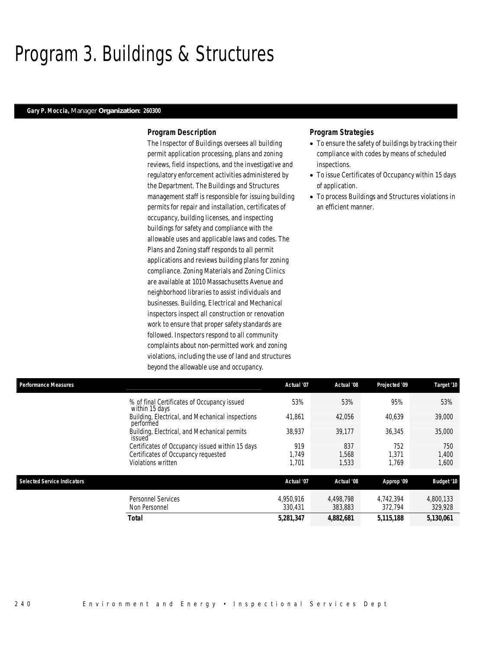# Program 3. Buildings & Structures

### *Gary P. Moccia, Manager Organization: 260300*

### *Program Description*

The Inspector of Buildings oversees all building permit application processing, plans and zoning reviews, field inspections, and the investigative and regulatory enforcement activities administered by the Department. The Buildings and Structures management staff is responsible for issuing building permits for repair and installation, certificates of occupancy, building licenses, and inspecting buildings for safety and compliance with the allowable uses and applicable laws and codes. The Plans and Zoning staff responds to all permit applications and reviews building plans for zoning compliance. Zoning Materials and Zoning Clinics are available at 1010 Massachusetts Avenue and neighborhood libraries to assist individuals and businesses. Building, Electrical and Mechanical inspectors inspect all construction or renovation work to ensure that proper safety standards are followed. Inspectors respond to all community complaints about non-permitted work and zoning violations, including the use of land and structures beyond the allowable use and occupancy.

### *Program Strategies*

- To ensure the safety of buildings by tracking their compliance with codes by means of scheduled inspections.
- To issue Certificates of Occupancy within 15 days of application.
- To process Buildings and Structures violations in an efficient manner.

| <b>Performance Measures</b>                                   | Actual '07 | Actual '08 | Projected '09 | Target '10        |
|---------------------------------------------------------------|------------|------------|---------------|-------------------|
| % of final Certificates of Occupancy issued<br>within 15 days | 53%        | 53%        | 95%           | 53%               |
| Building, Electrical, and Mechanical inspections<br>performed | 41,861     | 42,056     | 40,639        | 39,000            |
| Building, Electrical, and Mechanical permits<br>issued        | 38,937     | 39.177     | 36,345        | 35,000            |
| Certificates of Occupancy issued within 15 days               | 919        | 837        | 752           | 750               |
| Certificates of Occupancy requested                           | 1.749      | 1.568      | 1.371         | 1.400             |
| Violations written                                            | 1.701      | 1,533      | 1.769         | 1,600             |
| Selected Service Indicators                                   | Actual '07 | Actual '08 | Approp '09    | <b>Budget '10</b> |
| Personnel Services                                            | 4,950,916  | 4.498.798  | 4.742.394     | 4,800,133         |
| Non Personnel                                                 | 330.431    | 383,883    | 372.794       | 329,928           |
| <b>Total</b>                                                  | 5,281,347  | 4,882,681  | 5,115,188     | 5.130.061         |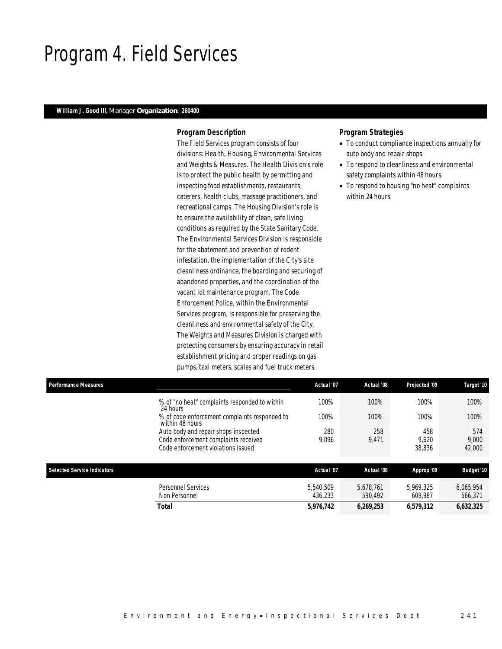## Program 4. Field Services

### *William J. Good III, Manager Organization: 260400*

### *Program Description*

The Field Services program consists of four divisions: Health, Housing, Environmental Services and Weights & Measures. The Health Division's role is to protect the public health by permitting and inspecting food establishments, restaurants, caterers, health clubs, massage practitioners, and recreational camps. The Housing Division's role is to ensure the availability of clean, safe living conditions as required by the State Sanitary Code. The Environmental Services Division is responsible for the abatement and prevention of rodent infestation, the implementation of the City's site cleanliness ordinance, the boarding and securing of abandoned properties, and the coordination of the vacant lot maintenance program. The Code Enforcement Police, within the Environmental Services program, is responsible for preserving the cleanliness and environmental safety of the City. The Weights and Measures Division is charged with protecting consumers by ensuring accuracy in retail establishment pricing and proper readings on gas pumps, taxi meters, scales and fuel truck meters.

### *Program Strategies*

- To conduct compliance inspections annually for auto body and repair shops.
- To respond to cleanliness and environmental safety complaints within 48 hours.
- To respond to housing "no heat" complaints within 24 hours.

| Performance Measures               |                                                                            | Actual '07           | Actual '08           | Projected '09        | Target '10           |
|------------------------------------|----------------------------------------------------------------------------|----------------------|----------------------|----------------------|----------------------|
|                                    | % of "no heat" complaints responded to within<br>24 hours                  | 100%                 | 100%                 | 100%                 | 100%                 |
|                                    | % of code enforcement complaints responded to<br>within 48 hours           | 100%                 | 100%                 | 100%                 | 100%                 |
|                                    | Auto body and repair shops inspected                                       | 280                  | 258                  | 458                  | 574                  |
|                                    | Code enforcement complaints received<br>Code enforcement violations issued | 9,096                | 9,471                | 9.620<br>38,836      | 9,000<br>42,000      |
| <b>Selected Service Indicators</b> |                                                                            | Actual '07           | Actual '08           | Approp '09           | <b>Budget '10</b>    |
|                                    | <b>Personnel Services</b><br>Non Personnel                                 | 5.540.509<br>436.233 | 5.678.761<br>590.492 | 5.969.325<br>609.987 | 6,065,954<br>566.371 |

*Total 5,976,742 6,269,253 6,579,312 6,632,325*